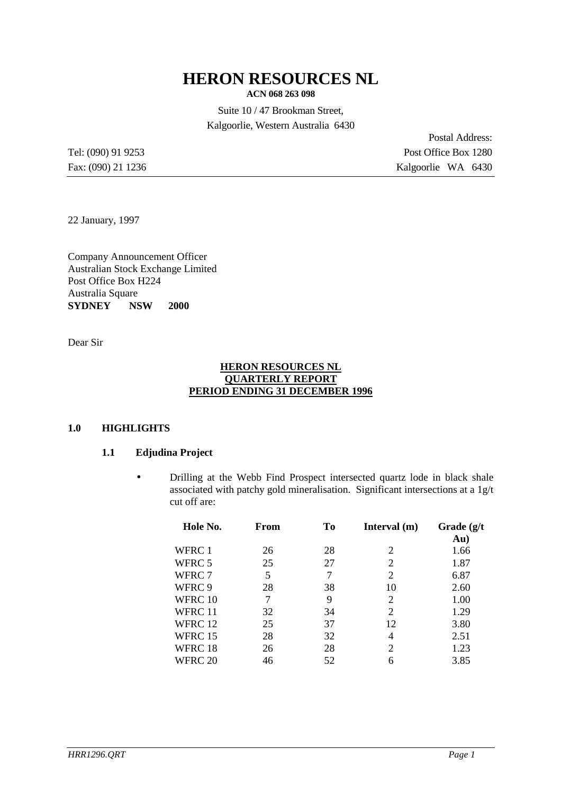# **HERON RESOURCES NL**

**ACN 068 263 098**

Suite 10 / 47 Brookman Street, Kalgoorlie, Western Australia 6430

Postal Address: Tel: (090) 91 9253 Post Office Box 1280 Fax: (090) 21 1236 Kalgoorlie WA 6430

22 January, 1997

Company Announcement Officer Australian Stock Exchange Limited Post Office Box H224 Australia Square **SYDNEY** NSW 2000

Dear Sir

#### **HERON RESOURCES NL QUARTERLY REPORT PERIOD ENDING 31 DECEMBER 1996**

#### **1.0 HIGHLIGHTS**

#### **1.1 Edjudina Project**

• Drilling at the Webb Find Prospect intersected quartz lode in black shale associated with patchy gold mineralisation. Significant intersections at a 1g/t cut off are:

| Hole No. | From | To | Interval $(m)$ | Grade $(g/t)$<br>Au) |
|----------|------|----|----------------|----------------------|
| WFRC 1   | 26   | 28 | 2              | 1.66                 |
| WFRC 5   | 25   | 27 | 2              | 1.87                 |
| WFRC 7   | 5    | 7  | 2              | 6.87                 |
| WFRC 9   | 28   | 38 | 10             | 2.60                 |
| WFRC 10  | 7    | 9  | 2              | 1.00                 |
| WFRC 11  | 32   | 34 | 2              | 1.29                 |
| WFRC 12  | 25   | 37 | 12             | 3.80                 |
| WFRC 15  | 28   | 32 | 4              | 2.51                 |
| WFRC 18  | 26   | 28 | 2              | 1.23                 |
| WFRC 20  | 46   | 52 | 6              | 3.85                 |
|          |      |    |                |                      |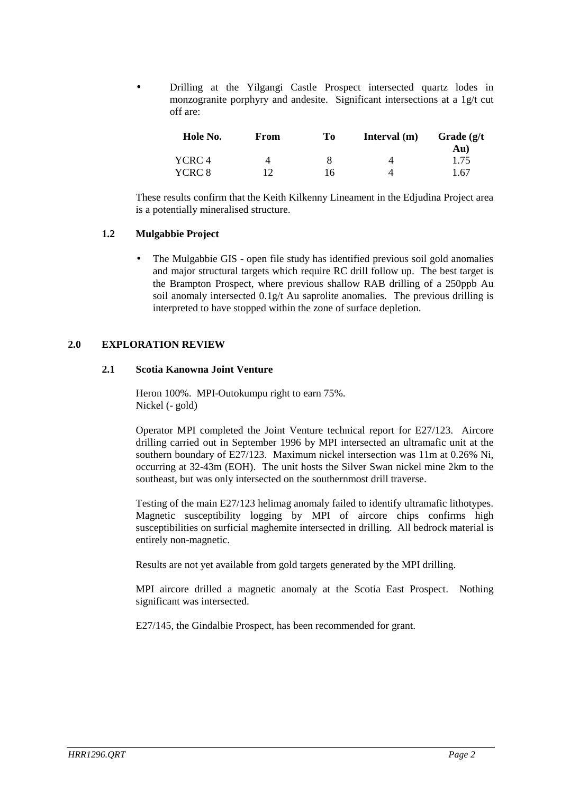• Drilling at the Yilgangi Castle Prospect intersected quartz lodes in monzogranite porphyry and andesite. Significant intersections at a 1g/t cut off are:

| Hole No. | From | To | Interval $(m)$ | Grade $(g/t)$ |
|----------|------|----|----------------|---------------|
|          |      |    |                | Au)           |
| YCRC 4   | 4    |    | 4              | 1.75          |
| YCRC 8   |      | 16 |                | 1.67          |

These results confirm that the Keith Kilkenny Lineament in the Edjudina Project area is a potentially mineralised structure.

#### **1.2 Mulgabbie Project**

• The Mulgabbie GIS - open file study has identified previous soil gold anomalies and major structural targets which require RC drill follow up. The best target is the Brampton Prospect, where previous shallow RAB drilling of a 250ppb Au soil anomaly intersected  $0.1g/t$  Au saprolite anomalies. The previous drilling is interpreted to have stopped within the zone of surface depletion.

#### **2.0 EXPLORATION REVIEW**

#### **2.1 Scotia Kanowna Joint Venture**

Heron 100%. MPI-Outokumpu right to earn 75%. Nickel (- gold)

Operator MPI completed the Joint Venture technical report for E27/123. Aircore drilling carried out in September 1996 by MPI intersected an ultramafic unit at the southern boundary of E27/123. Maximum nickel intersection was 11m at 0.26% Ni, occurring at 32-43m (EOH). The unit hosts the Silver Swan nickel mine 2km to the southeast, but was only intersected on the southernmost drill traverse.

Testing of the main E27/123 helimag anomaly failed to identify ultramafic lithotypes. Magnetic susceptibility logging by MPI of aircore chips confirms high susceptibilities on surficial maghemite intersected in drilling. All bedrock material is entirely non-magnetic.

Results are not yet available from gold targets generated by the MPI drilling.

MPI aircore drilled a magnetic anomaly at the Scotia East Prospect. Nothing significant was intersected.

E27/145, the Gindalbie Prospect, has been recommended for grant.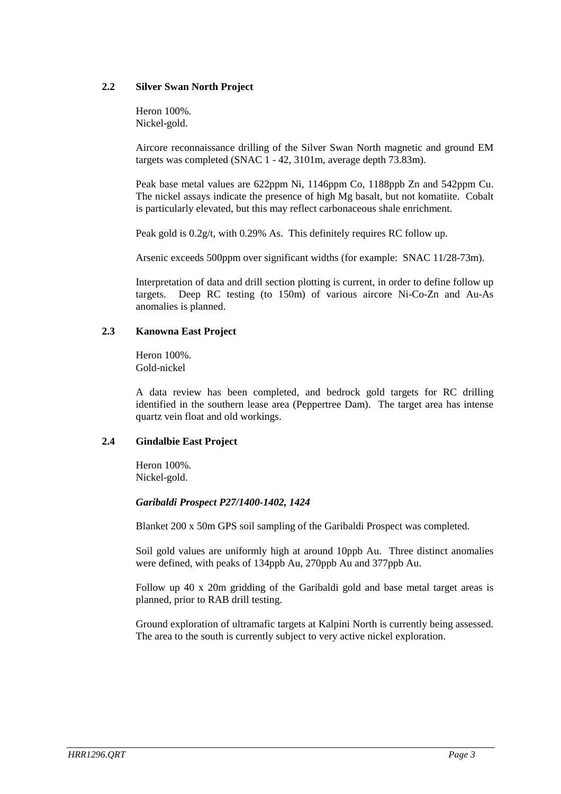#### **2.2 Silver Swan North Project**

Heron 100%. Nickel-gold.

Aircore reconnaissance drilling of the Silver Swan North magnetic and ground EM targets was completed (SNAC 1 - 42, 3101m, average depth 73.83m).

Peak base metal values are 622ppm Ni, 1146ppm Co, 1188ppb Zn and 542ppm Cu. The nickel assays indicate the presence of high Mg basalt, but not komatiite. Cobalt is particularly elevated, but this may reflect carbonaceous shale enrichment.

Peak gold is 0.2g/t, with 0.29% As. This definitely requires RC follow up.

Arsenic exceeds 500ppm over significant widths (for example: SNAC 11/28-73m).

Interpretation of data and drill section plotting is current, in order to define follow up targets. Deep RC testing (to 150m) of various aircore Ni-Co-Zn and Au-As anomalies is planned.

## **2.3 Kanowna East Project**

Heron 100%. Gold-nickel

A data review has been completed, and bedrock gold targets for RC drilling identified in the southern lease area (Peppertree Dam). The target area has intense quartz vein float and old workings.

#### **2.4 Gindalbie East Project**

Heron 100%. Nickel-gold.

#### *Garibaldi Prospect P27/1400-1402, 1424*

Blanket 200 x 50m GPS soil sampling of the Garibaldi Prospect was completed.

Soil gold values are uniformly high at around 10ppb Au. Three distinct anomalies were defined, with peaks of 134ppb Au, 270ppb Au and 377ppb Au.

Follow up 40 x 20m gridding of the Garibaldi gold and base metal target areas is planned, prior to RAB drill testing.

Ground exploration of ultramafic targets at Kalpini North is currently being assessed. The area to the south is currently subject to very active nickel exploration.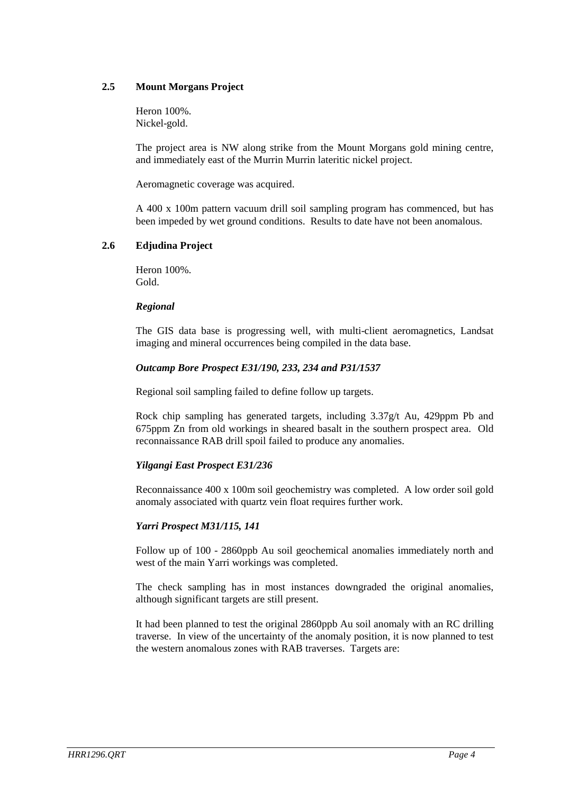### **2.5 Mount Morgans Project**

Heron 100%. Nickel-gold.

The project area is NW along strike from the Mount Morgans gold mining centre, and immediately east of the Murrin Murrin lateritic nickel project.

Aeromagnetic coverage was acquired.

A 400 x 100m pattern vacuum drill soil sampling program has commenced, but has been impeded by wet ground conditions. Results to date have not been anomalous.

#### **2.6 Edjudina Project**

Heron 100%. Gold.

#### *Regional*

The GIS data base is progressing well, with multi-client aeromagnetics, Landsat imaging and mineral occurrences being compiled in the data base.

## *Outcamp Bore Prospect E31/190, 233, 234 and P31/1537*

Regional soil sampling failed to define follow up targets.

Rock chip sampling has generated targets, including 3.37g/t Au, 429ppm Pb and 675ppm Zn from old workings in sheared basalt in the southern prospect area. Old reconnaissance RAB drill spoil failed to produce any anomalies.

#### *Yilgangi East Prospect E31/236*

Reconnaissance 400 x 100m soil geochemistry was completed. A low order soil gold anomaly associated with quartz vein float requires further work.

## *Yarri Prospect M31/115, 141*

Follow up of 100 - 2860ppb Au soil geochemical anomalies immediately north and west of the main Yarri workings was completed.

The check sampling has in most instances downgraded the original anomalies, although significant targets are still present.

It had been planned to test the original 2860ppb Au soil anomaly with an RC drilling traverse. In view of the uncertainty of the anomaly position, it is now planned to test the western anomalous zones with RAB traverses. Targets are: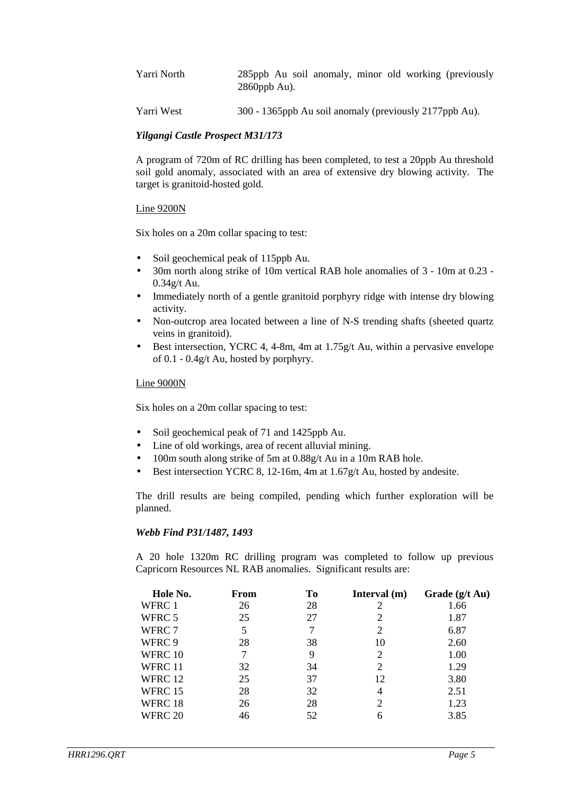| Yarri North | 285ppb Au soil anomaly, minor old working (previously<br>$2860$ ppb Au). |
|-------------|--------------------------------------------------------------------------|
| Yarri West  | 300 - 1365ppb Au soil anomaly (previously 2177ppb Au).                   |

#### *Yilgangi Castle Prospect M31/173*

A program of 720m of RC drilling has been completed, to test a 20ppb Au threshold soil gold anomaly, associated with an area of extensive dry blowing activity. The target is granitoid-hosted gold.

#### Line 9200N

Six holes on a 20m collar spacing to test:

- Soil geochemical peak of 115ppb Au.
- 30m north along strike of 10m vertical RAB hole anomalies of 3 10m at 0.23 0.34g/t Au.
- Immediately north of a gentle granitoid porphyry ridge with intense dry blowing activity.
- Non-outcrop area located between a line of N-S trending shafts (sheeted quartz veins in granitoid).
- Best intersection, YCRC 4, 4-8m, 4m at  $1.75g/t$  Au, within a pervasive envelope of 0.1 - 0.4g/t Au, hosted by porphyry.

#### Line 9000N

Six holes on a 20m collar spacing to test:

- Soil geochemical peak of 71 and 1425ppb Au.
- Line of old workings, area of recent alluvial mining.
- 100m south along strike of 5m at 0.88g/t Au in a 10m RAB hole.
- Best intersection YCRC 8, 12-16m, 4m at 1.67g/t Au, hosted by andesite.

The drill results are being compiled, pending which further exploration will be planned.

#### *Webb Find P31/1487, 1493*

A 20 hole 1320m RC drilling program was completed to follow up previous Capricorn Resources NL RAB anomalies. Significant results are:

| Hole No. | From | To | Interval $(m)$ | Grade $(g/t \text{ Au})$ |
|----------|------|----|----------------|--------------------------|
| WFRC 1   | 26   | 28 | 2              | 1.66                     |
| WFRC 5   | 25   | 27 |                | 1.87                     |
| WFRC 7   | 5    | 7  | 2              | 6.87                     |
| WFRC 9   | 28   | 38 | 10             | 2.60                     |
| WFRC 10  | 7    | 9  | 2              | 1.00                     |
| WFRC 11  | 32   | 34 | 2              | 1.29                     |
| WFRC 12  | 25   | 37 | 12             | 3.80                     |
| WFRC 15  | 28   | 32 | 4              | 2.51                     |
| WFRC 18  | 26   | 28 | 2              | 1.23                     |
| WFRC 20  | 46   | 52 |                | 3.85                     |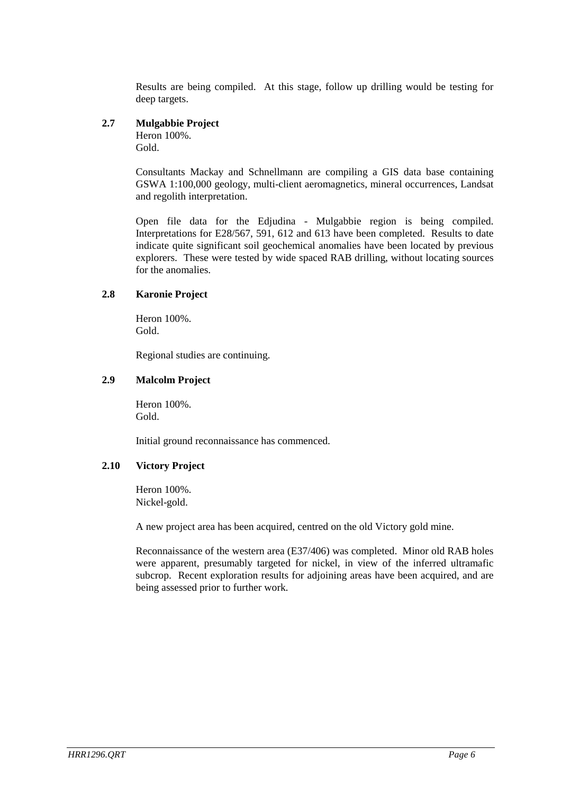Results are being compiled. At this stage, follow up drilling would be testing for deep targets.

## **2.7 Mulgabbie Project**

Heron 100%. Gold.

Consultants Mackay and Schnellmann are compiling a GIS data base containing GSWA 1:100,000 geology, multi-client aeromagnetics, mineral occurrences, Landsat and regolith interpretation.

Open file data for the Edjudina - Mulgabbie region is being compiled. Interpretations for E28/567, 591, 612 and 613 have been completed. Results to date indicate quite significant soil geochemical anomalies have been located by previous explorers. These were tested by wide spaced RAB drilling, without locating sources for the anomalies.

#### **2.8 Karonie Project**

Heron 100%. Gold.

Regional studies are continuing.

## **2.9 Malcolm Project**

Heron 100%. Gold.

Initial ground reconnaissance has commenced.

#### **2.10 Victory Project**

Heron 100%. Nickel-gold.

A new project area has been acquired, centred on the old Victory gold mine.

Reconnaissance of the western area (E37/406) was completed. Minor old RAB holes were apparent, presumably targeted for nickel, in view of the inferred ultramafic subcrop. Recent exploration results for adjoining areas have been acquired, and are being assessed prior to further work.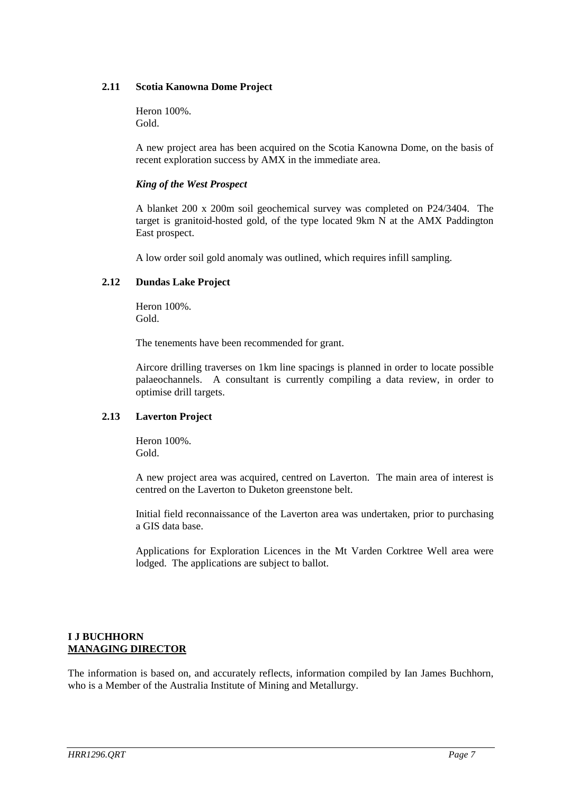#### **2.11 Scotia Kanowna Dome Project**

Heron 100%. Gold.

A new project area has been acquired on the Scotia Kanowna Dome, on the basis of recent exploration success by AMX in the immediate area.

#### *King of the West Prospect*

A blanket 200 x 200m soil geochemical survey was completed on P24/3404. The target is granitoid-hosted gold, of the type located 9km N at the AMX Paddington East prospect.

A low order soil gold anomaly was outlined, which requires infill sampling.

#### **2.12 Dundas Lake Project**

Heron 100%. Gold.

The tenements have been recommended for grant.

Aircore drilling traverses on 1km line spacings is planned in order to locate possible palaeochannels. A consultant is currently compiling a data review, in order to optimise drill targets.

#### **2.13 Laverton Project**

Heron 100%. Gold.

A new project area was acquired, centred on Laverton. The main area of interest is centred on the Laverton to Duketon greenstone belt.

Initial field reconnaissance of the Laverton area was undertaken, prior to purchasing a GIS data base.

Applications for Exploration Licences in the Mt Varden Corktree Well area were lodged. The applications are subject to ballot.

## **I J BUCHHORN MANAGING DIRECTOR**

The information is based on, and accurately reflects, information compiled by Ian James Buchhorn, who is a Member of the Australia Institute of Mining and Metallurgy.